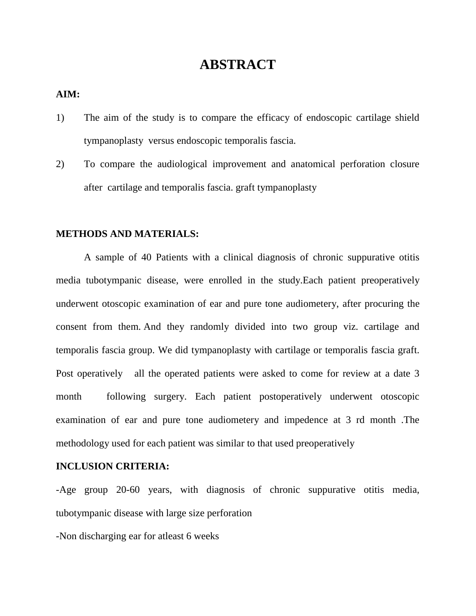# **ABSTRACT**

#### **AIM:**

- 1) The aim of the study is to compare the efficacy of endoscopic cartilage shield tympanoplasty versus endoscopic temporalis fascia.
- 2) To compare the audiological improvement and anatomical perforation closure after cartilage and temporalis fascia. graft tympanoplasty

#### **METHODS AND MATERIALS:**

A sample of 40 Patients with a clinical diagnosis of chronic suppurative otitis media tubotympanic disease, were enrolled in the study.Each patient preoperatively underwent otoscopic examination of ear and pure tone audiometery, after procuring the consent from them. And they randomly divided into two group viz. cartilage and temporalis fascia group. We did tympanoplasty with cartilage or temporalis fascia graft. Post operatively all the operated patients were asked to come for review at a date 3 month following surgery. Each patient postoperatively underwent otoscopic examination of ear and pure tone audiometery and impedence at 3 rd month .The methodology used for each patient was similar to that used preoperatively

#### **INCLUSION CRITERIA:**

-Age group 20-60 years, with diagnosis of chronic suppurative otitis media, tubotympanic disease with large size perforation

-Non discharging ear for atleast 6 weeks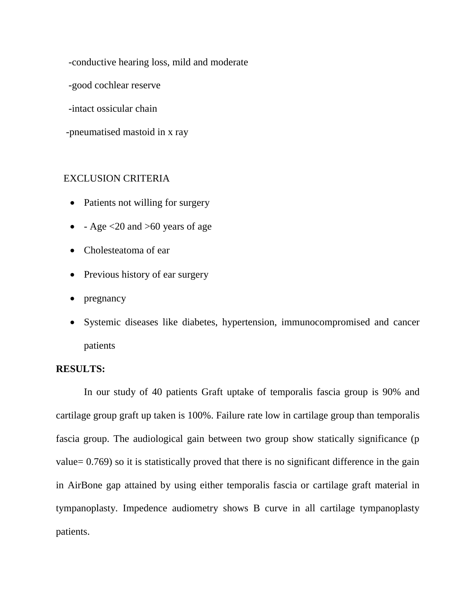-conductive hearing loss, mild and moderate

-good cochlear reserve

-intact ossicular chain

-pneumatised mastoid in x ray

### EXCLUSION CRITERIA

- Patients not willing for surgery
- $\text{-} \text{Age} \leq 20 \text{ and } > 60 \text{ years of age}$
- Cholesteatoma of ear
- Previous history of ear surgery
- pregnancy
- Systemic diseases like diabetes, hypertension, immunocompromised and cancer patients

## **RESULTS:**

In our study of 40 patients Graft uptake of temporalis fascia group is 90% and cartilage group graft up taken is 100%. Failure rate low in cartilage group than temporalis fascia group. The audiological gain between two group show statically significance (p value= 0.769) so it is statistically proved that there is no significant difference in the gain in AirBone gap attained by using either temporalis fascia or cartilage graft material in tympanoplasty. Impedence audiometry shows B curve in all cartilage tympanoplasty patients.